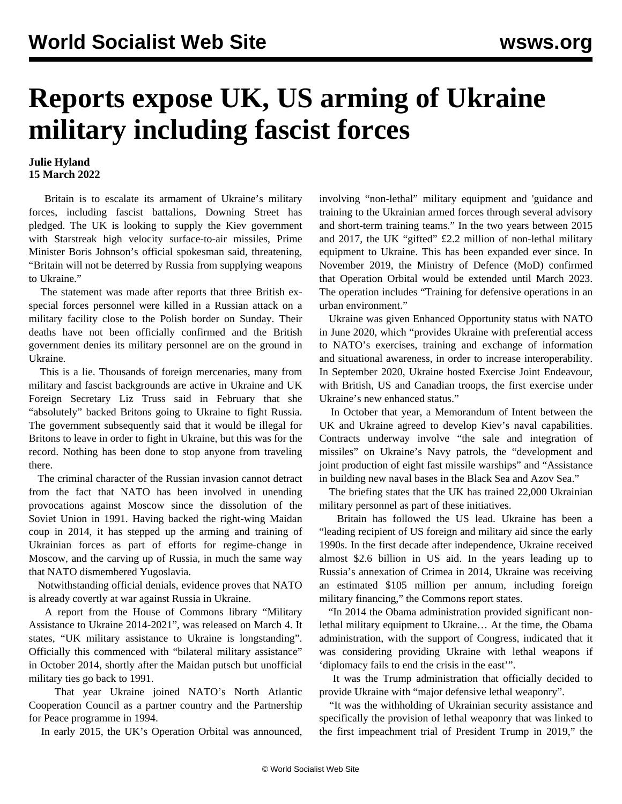## **Reports expose UK, US arming of Ukraine military including fascist forces**

## **Julie Hyland 15 March 2022**

 Britain is to escalate its armament of Ukraine's military forces, including fascist battalions, Downing Street has pledged. The UK is looking to supply the Kiev government with Starstreak high velocity surface-to-air missiles, Prime Minister Boris Johnson's official spokesman said, threatening, "Britain will not be deterred by Russia from supplying weapons to Ukraine."

 The statement was made after reports that three British exspecial forces personnel were killed in a Russian attack on a military facility close to the Polish border on Sunday. Their deaths have not been officially confirmed and the British government denies its military personnel are on the ground in Ukraine.

 This is a lie. Thousands of foreign mercenaries, many from military and fascist backgrounds are active in Ukraine and UK Foreign Secretary Liz Truss said in February that she "absolutely" backed Britons going to Ukraine to fight Russia. The government subsequently said that it would be illegal for Britons to leave in order to fight in Ukraine, but this was for the record. Nothing has been done to stop anyone from traveling there.

 The criminal character of the Russian invasion cannot detract from the fact that NATO has been involved in unending provocations against Moscow since the dissolution of the Soviet Union in 1991. Having backed the right-wing Maidan coup in 2014, it has stepped up the arming and training of Ukrainian forces as part of efforts for regime-change in Moscow, and the carving up of Russia, in much the same way that NATO dismembered Yugoslavia.

 Notwithstanding official denials, evidence proves that NATO is already covertly at war against Russia in Ukraine.

 A report from the House of Commons library "Military Assistance to Ukraine 2014-2021", was released on March 4. It states, "UK military assistance to Ukraine is longstanding". Officially this commenced with "bilateral military assistance" in October 2014, shortly after the Maidan putsch but unofficial military ties go back to 1991.

 That year Ukraine joined NATO's North Atlantic Cooperation Council as a partner country and the Partnership for Peace programme in 1994.

In early 2015, the UK's Operation Orbital was announced,

involving "non-lethal" military equipment and 'guidance and training to the Ukrainian armed forces through several advisory and short-term training teams." In the two years between 2015 and 2017, the UK "gifted" £2.2 million of non-lethal military equipment to Ukraine. This has been expanded ever since. In November 2019, the Ministry of Defence (MoD) confirmed that Operation Orbital would be extended until March 2023. The operation includes "Training for defensive operations in an urban environment."

 Ukraine was given Enhanced Opportunity status with NATO in June 2020, which "provides Ukraine with preferential access to NATO's exercises, training and exchange of information and situational awareness, in order to increase interoperability. In September 2020, Ukraine hosted Exercise Joint Endeavour, with British, US and Canadian troops, the first exercise under Ukraine's new enhanced status."

 In October that year, a Memorandum of Intent between the UK and Ukraine agreed to develop Kiev's naval capabilities. Contracts underway involve "the sale and integration of missiles" on Ukraine's Navy patrols, the "development and joint production of eight fast missile warships" and "Assistance in building new naval bases in the Black Sea and Azov Sea."

 The briefing states that the UK has trained 22,000 Ukrainian military personnel as part of these initiatives.

 Britain has followed the US lead. Ukraine has been a "leading recipient of US foreign and military aid since the early 1990s. In the first decade after independence, Ukraine received almost \$2.6 billion in US aid. In the years leading up to Russia's annexation of Crimea in 2014, Ukraine was receiving an estimated \$105 million per annum, including foreign military financing," the Commons report states.

 "In 2014 the Obama administration provided significant nonlethal military equipment to Ukraine… At the time, the Obama administration, with the support of Congress, indicated that it was considering providing Ukraine with lethal weapons if 'diplomacy fails to end the crisis in the east'".

 It was the Trump administration that officially decided to provide Ukraine with "major defensive lethal weaponry".

 "It was the withholding of Ukrainian security assistance and specifically the provision of lethal weaponry that was linked to the first impeachment trial of President Trump in 2019," the